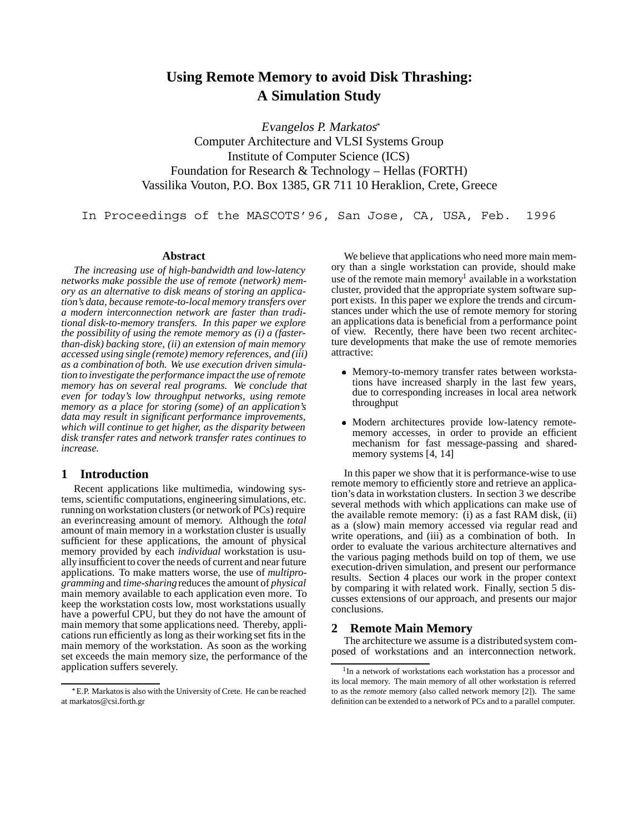# **Using Remote Memory to avoid Disk Thrashing: A Simulation Study**

Evangelos P. Markatos Computer Architecture and VLSI Systems Group Institute of Computer Science (ICS) Foundation for Research & Technology – Hellas (FORTH) Vassilika Vouton, P.O. Box 1385, GR 711 10 Heraklion, Crete, Greece

In Proceedings of the MASCOTS'96, San Jose, CA, USA, Feb. 1996

## **Abstract**

*The increasing use of high-bandwidth and low-latency networks make possible the use of remote (network) memory as an alternative to disk means of storing an application's data, because remote-to-local memory transfers over a modern interconnection network are faster than traditional disk-to-memory transfers. In this paper we explore the possibility of using the remote memory as (i) a (fasterthan-disk) backing store, (ii) an extension of main memory accessed using single (remote) memory references, and (iii) as a combination of both. We use execution driven simulation to investigate the performance impact the use of remote memory has on several real programs. We conclude that even for today's low throughput networks, using remote memory as a place for storing (some) of an application's data may result in significant performance improvements, which will continue to get higher, as the disparity between disk transfer rates and network transfer rates continues to increase.*

## **1 Introduction**

Recent applications like multimedia, windowing systems, scientific computations, engineering simulations, etc. running on workstation clusters (or network of PCs) require an everincreasing amount of memory. Although the *total* amount of main memory in a workstation cluster is usually sufficient for these applications, the amount of physical memory provided by each *individual* workstation is usually insufficient to cover the needs of current and near future applications. To make matters worse, the use of *multiprogramming* and *time-sharing*reduces the amount of *physical* main memory available to each application even more. To keep the workstation costs low, most workstations usually have a powerful CPU, but they do not have the amount of main memory that some applications need. Thereby, applications run efficiently as long as their working set fits in the main memory of the workstation. As soon as the working set exceeds the main memory size, the performance of the application suffers severely.

We believe that applications who need more main memory than a single workstation can provide, should make use of the remote main memory<sup>1</sup> available in a workstation cluster, provided that the appropriate system software support exists. In this paper we explore the trends and circumstances under which the use of remote memory for storing an applications data is beneficial from a performance point of view. Recently, there have been two recent architecture developments that make the use of remote memories attractive:

- Memory-to-memory transfer rates between workstations have increased sharply in the last few years, due to corresponding increases in local area network throughput
- Modern architectures provide low-latency remotememory accesses, in order to provide an efficient mechanism for fast message-passing and sharedmemory systems [4, 14]

In this paper we show that it is performance-wise to use remote memory to efficiently store and retrieve an application's data in workstation clusters. In section 3 we describe several methods with which applications can make use of the available remote memory: (i) as a fast RAM disk, (ii) as a (slow) main memory accessed via regular read and write operations, and (iii) as a combination of both. In order to evaluate the various architecture alternatives and the various paging methods build on top of them, we use execution-driven simulation, and present our performance results. Section 4 places our work in the proper context by comparing it with related work. Finally, section 5 discusses extensions of our approach, and presents our major conclusions.

## **2 Remote Main Memory**

The architecture we assume is a distributed system composed of workstations and an interconnection network.

E.P. Markatos is also with the University of Crete. He can be reached at markatos@csi.forth.gr

<sup>&</sup>lt;sup>1</sup>In a network of workstations each workstation has a processor and its local memory. The main memory of all other workstation is referred to as the *remote* memory (also called network memory [2]). The same definition can be extended to a network of PCs and to a parallel computer.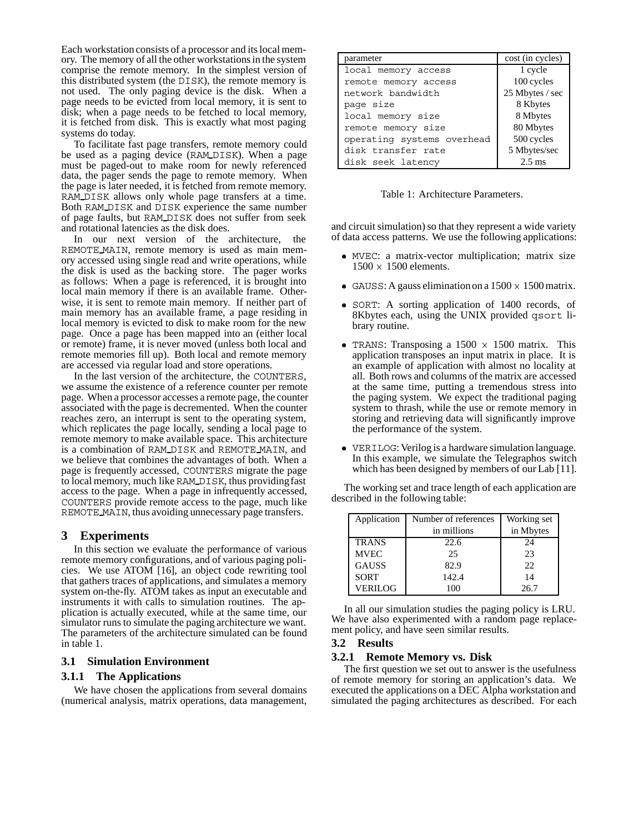Each workstation consists of a processor and its local memory. The memory of all the other workstations in the system comprise the remote memory. In the simplest version of this distributed system (the DISK), the remote memory is not used. The only paging device is the disk. When a page needs to be evicted from local memory, it is sent to disk; when a page needs to be fetched to local memory, it is fetched from disk. This is exactly what most paging systems do today.

To facilitate fast page transfers, remote memory could be used as a paging device (RAM DISK). When a page must be paged-out to make room for newly referenced data, the pager sends the page to remote memory. When the page is later needed, it is fetched from remote memory. RAM DISK allows only whole page transfers at a time. Both RAM DISK and DISK experience the same number of page faults, but RAM DISK does not suffer from seek and rotational latencies as the disk does.

In our next version of the architecture, the REMOTE MAIN, remote memory is used as main memory accessed using single read and write operations, while the disk is used as the backing store. The pager works as follows: When a page is referenced, it is brought into local main memory if there is an available frame. Otherwise, it is sent to remote main memory. If neither part of main memory has an available frame, a page residing in local memory is evicted to disk to make room for the new page. Once a page has been mapped into an (either local or remote) frame, it is never moved (unless both local and remote memories fill up). Both local and remote memory are accessed via regular load and store operations.

In the last version of the architecture, the COUNTERS, we assume the existence of a reference counter per remote page. When a processor accesses a remote page, the counter associated with the page is decremented. When the counter reaches zero, an interrupt is sent to the operating system, which replicates the page locally, sending a local page to remote memory to make available space. This architecture is a combination of RAM DISK and REMOTE MAIN, and we believe that combines the advantages of both. When a page is frequently accessed, COUNTERS migrate the page to local memory, much like RAM DISK, thus providing fast access to the page. When a page in infrequently accessed, COUNTERS provide remote access to the page, much like REMOTE MAIN, thus avoiding unnecessary page transfers.

## **3 Experiments**

In this section we evaluate the performance of various remote memory configurations, and of various paging policies. We use ATOM [16], an object code rewriting tool that gathers traces of applications, and simulates a memory system on-the-fly. ATOM takes as input an executable and instruments it with calls to simulation routines. The application is actually executed, while at the same time, our simulator runs to simulate the paging architecture we want. The parameters of the architecture simulated can be found in table 1.

## **3.1 Simulation Environment**

## **3.1.1 The Applications**

We have chosen the applications from several domains (numerical analysis, matrix operations, data management,

| parameter                  | cost (in cycles) |
|----------------------------|------------------|
| local memory access        | 1 cycle          |
| remote memory access       | 100 cycles       |
| network bandwidth          | 25 Mbytes / sec  |
| page size                  | 8 Kbytes         |
| local memory size          | 8 Mbytes         |
| remote memory size         | 80 Mbytes        |
| operating systems overhead | 500 cycles       |
| disk transfer rate         | 5 Mbytes/sec     |
| disk seek latency          | $2.5 \text{ ms}$ |

Table 1: Architecture Parameters.

and circuit simulation) so that they represent a wide variety of data access patterns. We use the following applications:

- MVEC: a matrix-vector multiplication; matrix size  $1500 \times 1500$  elements.
- GAUSS: A gauss elimination on a  $1500 \times 1500$  matrix.
- SORT: A sorting application of 1400 records, of 8Kbytes each, using the UNIX provided qsort library routine.
- TRANS: Transposing a  $1500 \times 1500$  matrix. This application transposes an input matrix in place. It is an example of application with almost no locality at all. Both rows and columns of the matrix are accessed at the same time, putting a tremendous stress into the paging system. We expect the traditional paging system to thrash, while the use or remote memory in storing and retrieving data will significantly improve the performance of the system.
- VERILOG: Verilog is a hardware simulation language. In this example, we simulate the Telegraphos switch which has been designed by members of our Lab [11].

The working set and trace length of each application are described in the following table:

| Application    | Number of references | Working set |
|----------------|----------------------|-------------|
|                | in millions          | in Mbytes   |
| <b>TRANS</b>   | 22.6                 | 24          |
| <b>MVEC</b>    | 25                   | 23          |
| <b>GAUSS</b>   | 82.9                 | 22          |
| <b>SORT</b>    | 142.4                | 14          |
| <b>VERILOG</b> | 100                  | 26.7        |

In all our simulation studies the paging policy is LRU. We have also experimented with a random page replacement policy, and have seen similar results.

#### **3.2 Results**

#### **3.2.1 Remote Memory vs. Disk**

The first question we set out to answer is the usefulness of remote memory for storing an application's data. We executed the applications on a DEC Alpha workstation and simulated the paging architectures as described. For each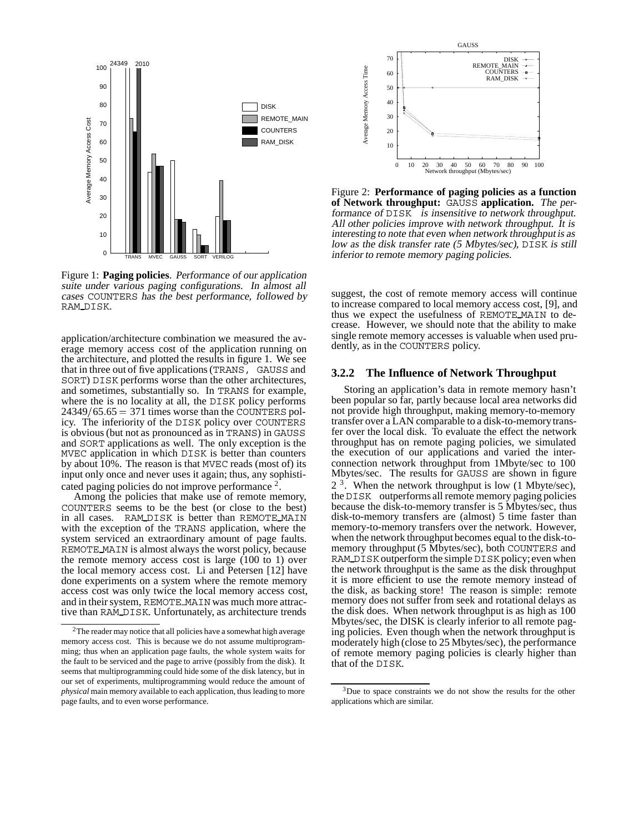

Figure 1: **Paging policies**. Performance of our application suite under various paging configurations. In almost all cases COUNTERS has the best performance, followed by RAM\_DISK.

application/architecture combination we measured the average memory access cost of the application running on the architecture, and plotted the results in figure 1. We see that in three out of five applications (TRANS, GAUSS and SORT) DISK performs worse than the other architectures, and sometimes, substantially so. In TRANS for example, where the is no locality at all, the DISK policy performs  $24349/65.65 = 371$  times worse than the COUNTERS policy. The inferiority of the DISK policy over COUNTERS is obvious (but not as pronounced as in TRANS) in GAUSS and SORT applications as well. The only exception is the MVEC application in which DISK is better than counters by about 10%. The reason is that MVEC reads (most of) its input only once and never uses it again; thus, any sophisti-

cated paging policies do not improve performance<sup>2</sup>.<br>Among the policies that make use of remote memory, COUNTERS seems to be the best (or close to the best) in all cases. RAM\_DISK is better than REMOTE\_MAIN with the exception of the TRANS application, where the system serviced an extraordinary amount of page faults. REMOTE MAIN is almost always the worst policy, because the remote memory access cost is large (100 to 1) over the local memory access cost. Li and Petersen [12] have done experiments on a system where the remote memory access cost was only twice the local memory access cost, and in their system, REMOTE MAIN was much more attractive than RAM DISK. Unfortunately, as architecture trends



Figure 2: **Performance of paging policies as a function of Network throughput:** GAUSS **application.** The performance of DISK is insensitive to network throughput. All other policies improve with network throughput. It is interesting to note that even when network throughput is as low as the disk transfer rate (5 Mbytes/sec), DISK is still inferior to remote memory paging policies.

suggest, the cost of remote memory access will continue to increase compared to local memory access cost, [9], and thus we expect the usefulness of REMOTE MAIN to decrease. However, we should note that the ability to make single remote memory accesses is valuable when used prudently, as in the COUNTERS policy.

#### **3.2.2 The Influence of Network Throughput**

Storing an application's data in remote memory hasn't been popular so far, partly because local area networks did not provide high throughput, making memory-to-memory transfer over a LAN comparable to a disk-to-memorytransfer over the local disk. To evaluate the effect the network throughput has on remote paging policies, we simulated the execution of our applications and varied the interconnection network throughput from 1Mbyte/sec to 100 Mbytes/sec. The results for GAUSS are shown in figure  $2<sup>3</sup>$ . When the network throughput is low (1 Mbyte/sec), the DISK outperforms all remote memory paging policies because the disk-to-memory transfer is 5 Mbytes/sec, thus disk-to-memory transfers are (almost) 5 time faster than memory-to-memory transfers over the network. However, when the network throughput becomes equal to the disk-tomemory throughput (5 Mbytes/sec), both COUNTERS and RAM DISK outperform the simple DISK policy;even when the network throughput is the same as the disk throughput it is more efficient to use the remote memory instead of the disk, as backing store! The reason is simple: remote memory does not suffer from seek and rotational delays as the disk does. When network throughput is as high as 100 Mbytes/sec, the DISK is clearly inferior to all remote paging policies. Even though when the network throughput is moderately high (close to 25 Mbytes/sec), the performance of remote memory paging policies is clearly higher than that of the DISK.

<sup>&</sup>lt;sup>2</sup>The reader may notice that all policies have a somewhat high average memory access cost. This is because we do not assume multiprogramming; thus when an application page faults, the whole system waits for the fault to be serviced and the page to arrive (possibly from the disk). It seems that multiprogramming could hide some of the disk latency, but in our set of experiments, multiprogramming would reduce the amount of *physical* main memory available to each application, thus leading to more page faults, and to even worse performance.

<sup>3</sup>Due to space constraints we do not show the results for the other applications which are similar.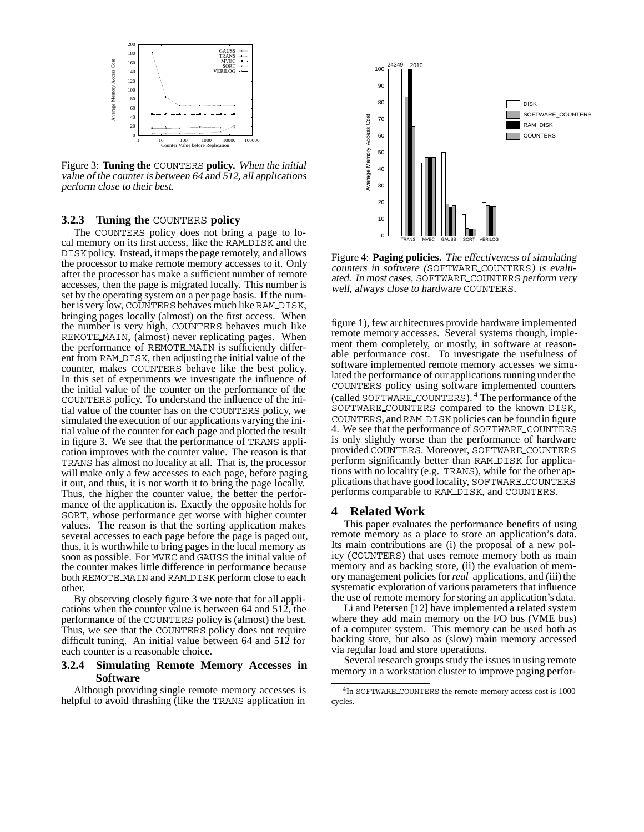

Figure 3: **Tuning the** COUNTERS **policy.** When the initial value of the counter is between 64 and 512, all applications perform close to their best.

#### **3.2.3 Tuning the** COUNTERS **policy**

The COUNTERS policy does not bring a page to local memory on its first access, like the RAM DISK and the DISKpolicy. Instead, it maps the page remotely, and allows the processor to make remote memory accesses to it. Only after the processor has make a sufficient number of remote accesses, then the page is migrated locally. This number is set by the operating system on a per page basis. If the number is very low, COUNTERS behaves much like RAM DISK, bringing pages locally (almost) on the first access. When the number is very high, COUNTERS behaves much like REMOTE MAIN, (almost) never replicating pages. When the performance of REMOTE MAIN is sufficiently different from RAM DISK, then adjusting the initial value of the counter, makes COUNTERS behave like the best policy. In this set of experiments we investigate the influence of the initial value of the counter on the performance of the COUNTERS policy. To understand the influence of the initial value of the counter has on the COUNTERS policy, we simulated the execution of our applications varying the initial value of the counter for each page and plotted the result in figure 3. We see that the performance of TRANS application improves with the counter value. The reason is that TRANS has almost no locality at all. That is, the processor will make only a few accesses to each page, before paging it out, and thus, it is not worth it to bring the page locally. Thus, the higher the counter value, the better the performance of the application is. Exactly the opposite holds for SORT, whose performance get worse with higher counter values. The reason is that the sorting application makes several accesses to each page before the page is paged out, thus, it is worthwhile to bring pages in the local memory as soon as possible. For MVEC and GAUSS the initial value of the counter makes little difference in performance because both REMOTE MAIN and RAM DISK perform close to each other.

By observing closely figure 3 we note that for all applications when the counter value is between 64 and 512, the performance of the COUNTERS policy is (almost) the best. Thus, we see that the COUNTERS policy does not require difficult tuning. An initial value between 64 and 512 for each counter is a reasonable choice.

#### **3.2.4 Simulating Remote Memory Accesses in Software**

Although providing single remote memory accesses is helpful to avoid thrashing (like the TRANS application in



Figure 4: **Paging policies.** The effectiveness of simulating counters in software (SOFTWARE COUNTERS) is evaluated. In most cases, SOFTWARE COUNTERS perform very well, always close to hardware COUNTERS.

figure 1), few architectures provide hardware implemented remote memory accesses. Several systems though, implement them completely, or mostly, in software at reasonable performance cost. To investigate the usefulness of software implemented remote memory accesses we simulated the performance of our applications running under the COUNTERS policy using software implemented counters (called SOFTWARE COUNTERS). <sup>4</sup> The performance of the SOFTWARE COUNTERS compared to the known DISK, COUNTERS, and RAM DISK policies can be found in figure 4. We see that the performance of SOFTWARE COUNTERS is only slightly worse than the performance of hardware provided COUNTERS. Moreover, SOFTWARE COUNTERS perform significantly better than RAM DISK for applications with no locality (e.g. TRANS), while for the other applications that have good locality, SOFTWARE COUNTERS performs comparable to RAM DISK, and COUNTERS.

#### **4 Related Work**

This paper evaluates the performance benefits of using remote memory as a place to store an application's data. Its main contributions are (i) the proposal of a new policy (COUNTERS) that uses remote memory both as main memory and as backing store, (ii) the evaluation of memory management policies for*real* applications, and (iii) the systematic exploration of various parameters that influence the use of remote memory for storing an application's data.

Li and Petersen [12] have implemented a related system where they add main memory on the I/O bus (VME bus) of a computer system. This memory can be used both as backing store, but also as (slow) main memory accessed via regular load and store operations.

Several research groups study the issues in using remote memory in a workstation cluster to improve paging perfor-

<sup>&</sup>lt;sup>4</sup>In SOFTWARE COUNTERS the remote memory access cost is 1000 cycles.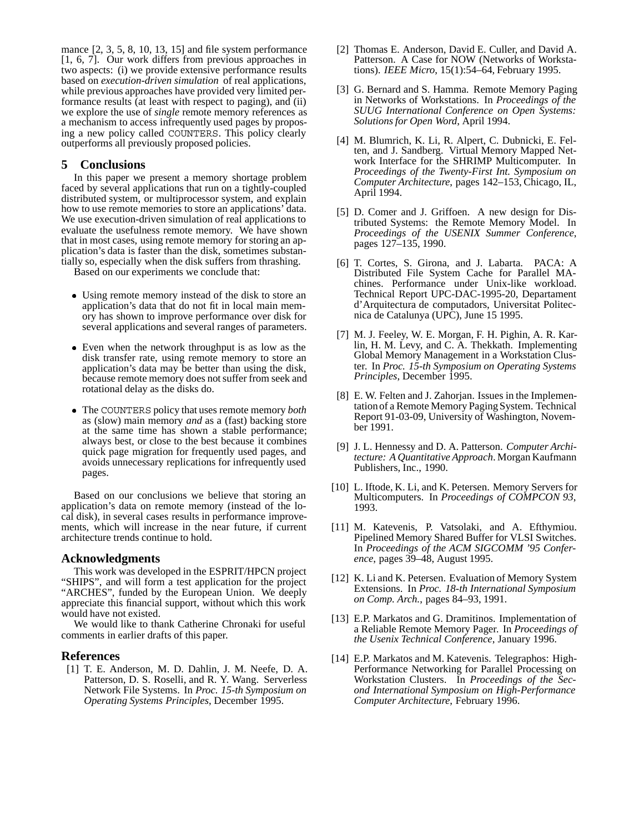mance [2, 3, 5, 8, 10, 13, 15] and file system performance [1, 6, 7]. Our work differs from previous approaches in two aspects: (i) we provide extensive performance results based on *execution-driven simulation* of real applications, while previous approaches have provided very limited performance results (at least with respect to paging), and (ii) we explore the use of *single* remote memory references as a mechanism to access infrequently used pages by proposing a new policy called COUNTERS. This policy clearly outperforms all previously proposed policies.

## **5 Conclusions**

In this paper we present a memory shortage problem faced by several applications that run on a tightly-coupled distributed system, or multiprocessor system, and explain how to use remote memories to store an applications' data. We use execution-driven simulation of real applications to evaluate the usefulness remote memory. We have shown that in most cases, using remote memory for storing an application's data is faster than the disk, sometimes substantially so, especially when the disk suffers from thrashing.

Based on our experiments we conclude that:

- Using remote memory instead of the disk to store an application's data that do not fit in local main memory has shown to improve performance over disk for several applications and several ranges of parameters.
- Even when the network throughput is as low as the disk transfer rate, using remote memory to store an application's data may be better than using the disk, because remote memory does not suffer from seek and rotational delay as the disks do.
- The COUNTERS policy that uses remote memory *both* as (slow) main memory *and* as a (fast) backing store at the same time has shown a stable performance; always best, or close to the best because it combines quick page migration for frequently used pages, and avoids unnecessary replications for infrequently used pages.

Based on our conclusions we believe that storing an application's data on remote memory (instead of the local disk), in several cases results in performance improvements, which will increase in the near future, if current architecture trends continue to hold.

#### **Acknowledgments**

This work was developed in the ESPRIT/HPCN project "SHIPS", and will form a test application for the project "ARCHES", funded by the European Union. We deeply appreciate this financial support, without which this work would have not existed.

We would like to thank Catherine Chronaki for useful comments in earlier drafts of this paper.

#### **References**

[1] T. E. Anderson, M. D. Dahlin, J. M. Neefe, D. A. Patterson, D. S. Roselli, and R. Y. Wang. Serverless Network File Systems. In *Proc. 15-th Symposium on Operating Systems Principles*, December 1995.

- [2] Thomas E. Anderson, David E. Culler, and David A. Patterson. A Case for NOW (Networks of Workstations). *IEEE Micro*, 15(1):54–64, February 1995.
- [3] G. Bernard and S. Hamma. Remote Memory Paging in Networks of Workstations. In *Proceedings of the SUUG International Conference on Open Systems: Solutions for Open Word*, April 1994.
- [4] M. Blumrich, K. Li, R. Alpert, C. Dubnicki, E. Felten, and J. Sandberg. Virtual Memory Mapped Network Interface for the SHRIMP Multicomputer. In *Proceedings of the Twenty-First Int. Symposium on Computer Architecture*, pages 142–153, Chicago, IL, April 1994.
- [5] D. Comer and J. Griffoen. A new design for Distributed Systems: the Remote Memory Model. In *Proceedings of the USENIX Summer Conference*, pages 127–135, 1990.
- [6] T. Cortes, S. Girona, and J. Labarta. PACA: A Distributed File System Cache for Parallel MAchines. Performance under Unix-like workload. Technical Report UPC-DAC-1995-20, Departament d'Arquitectura de computadors, Universitat Politecnica de Catalunya (UPC), June 15 1995.
- [7] M. J. Feeley, W. E. Morgan, F. H. Pighin, A. R. Karlin, H. M. Levy, and C. A. Thekkath. Implementing Global Memory Management in a Workstation Cluster. In *Proc. 15-th Symposium on Operating Systems Principles*, December 1995.
- [8] E. W. Felten and J. Zahorjan. Issues in the Implementationof a Remote Memory Paging System. Technical Report 91-03-09, University of Washington, November 1991.
- [9] J. L. Hennessy and D. A. Patterson. *Computer Architecture: A Quantitative Approach*. Morgan Kaufmann Publishers, Inc., 1990.
- [10] L. Iftode, K. Li, and K. Petersen. Memory Servers for Multicomputers. In *Proceedings of COMPCON 93*, 1993.
- [11] M. Katevenis, P. Vatsolaki, and A. Efthymiou. Pipelined Memory Shared Buffer for VLSI Switches. In *Proceedings of the ACM SIGCOMM '95 Conference*, pages 39–48, August 1995.
- [12] K. Li and K. Petersen. Evaluation of Memory System Extensions. In *Proc. 18-th International Symposium on Comp. Arch.*, pages 84–93, 1991.
- [13] E.P. Markatos and G. Dramitinos. Implementation of a Reliable Remote Memory Pager. In *Proceedings of the Usenix Technical Conference*, January 1996.
- [14] E.P. Markatos and M. Katevenis. Telegraphos: High-Performance Networking for Parallel Processing on Workstation Clusters. In *Proceedings of the Second International Symposium on High-Performance Computer Architecture*, February 1996.